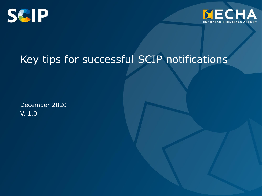



## Key tips for successful SCIP notifications

December 2020 V. 1.0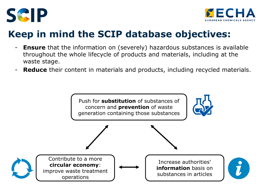



### **Keep in mind the SCIP database objectives:**

- **Ensure** that the information on (severely) hazardous substances is available throughout the whole lifecycle of products and materials, including at the waste stage.
- **Reduce** their content in materials and products, including recycled materials.

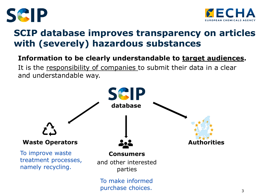



### **SCIP database improves transparency on articles with (severely) hazardous substances**

#### **Information to be clearly understandable to target audiences.**

It is the responsibility of companies to submit their data in a clear and understandable way.

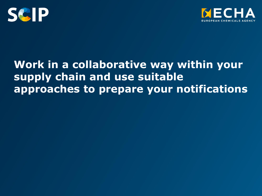



### **Work in a collaborative way within your supply chain and use suitable approaches to prepare your notifications**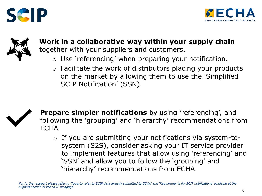





**Work in a collaborative way within your supply chain**  together with your suppliers and customers.

- $\circ$  Use 'referencing' when preparing your notification.
- $\circ$  Facilitate the work of distributors placing your products on the market by allowing them to use the 'Simplified SCIP Notification' (SSN).



**Prepare simpler notifications** by using 'referencing', and following the 'grouping' and 'hierarchy' recommendations from **FCHA** 

o If you are submitting your notifications via system-tosystem (S2S), consider asking your IT service provider to implement features that allow using 'referencing' and 'SSN' and allow you to follow the 'grouping' and 'hierarchy' recommendations from ECHA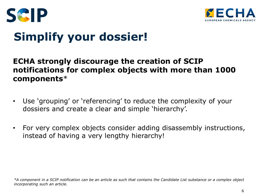



# **Simplify your dossier!**

### **ECHA strongly discourage the creation of SCIP notifications for complex objects with more than 1000 components**\*

- Use 'grouping' or 'referencing' to reduce the complexity of your dossiers and create a clear and simple 'hierarchy'.
- For very complex objects consider adding disassembly instructions, instead of having a very lengthy hierarchy!

*<sup>\*</sup>A component in a SCIP notification can be an article as such that contains the Candidate List substance or a complex object incorporating such an article.*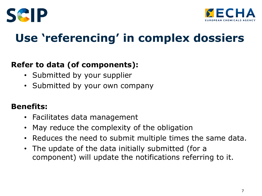



## **Use 'referencing' in complex dossiers**

### **Refer to data (of components):**

- Submitted by your supplier
- Submitted by your own company

### **Benefits:**

- Facilitates data management
- May reduce the complexity of the obligation
- Reduces the need to submit multiple times the same data.
- The update of the data initially submitted (for a component) will update the notifications referring to it.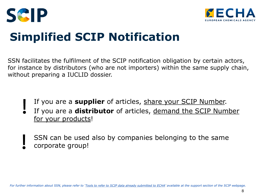



# **Simplified SCIP Notification**

SSN facilitates the fulfilment of the SCIP notification obligation by certain actors, for instance by distributors (who are not importers) within the same supply chain, without preparing a IUCLID dossier.

- If you are a **supplier** of articles, share your SCIP Number.
- If you are a **distributor** of articles, demand the SCIP Number for your products!
- SSN can be used also by companies belonging to the same corporate group!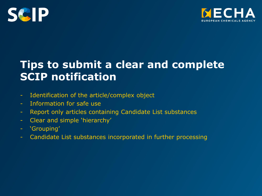



### **Tips to submit a clear and complete SCIP notification**

- Identification of the article/complex object
- Information for safe use
- Report only articles containing Candidate List substances
- Clear and simple 'hierarchy'
- 'Grouping'
- Candidate List substances incorporated in further processing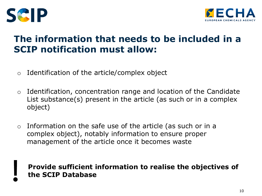



### **The information that needs to be included in a SCIP notification must allow:**

- $\circ$  Identification of the article/complex object
- $\circ$  Identification, concentration range and location of the Candidate List substance(s) present in the article (as such or in a complex object)
- o Information on the safe use of the article (as such or in a complex object), notably information to ensure proper management of the article once it becomes waste

#### **Provide sufficient information to realise the objectives of the SCIP Database**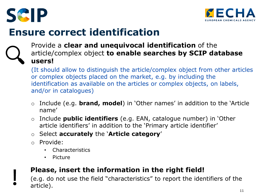



### **Ensure correct identification**



#### Provide a **clear and unequivocal identification** of the article/complex object **to enable searches by SCIP database users!**

(It should allow to distinguish the article/complex object from other articles or complex objects placed on the market, e.g. by including the identification as available on the articles or complex objects, on labels, and/or in catalogues)

- o Include (e.g. **brand, model**) in 'Other names' in addition to the 'Article name'
- o Include **public identifiers** (e.g. EAN, catalogue number) in 'Other article identifiers' in addition to the 'Primary article identifier'
- o Select **accurately** the '**Article category**'
- o Provide:
	- **Characteristics**
	- Picture

### **Please, insert the information in the right field!**

(e.g. do not use the field "characteristics" to report the identifiers of the article).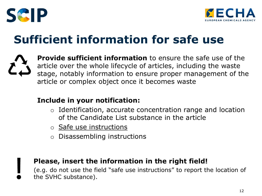



# **Sufficient information for safe use**

**Provide sufficient information** to ensure the safe use of the article over the whole lifecycle of articles, including the waste stage, notably information to ensure proper management of the article or complex object once it becomes waste

#### **Include in your notification:**

- o Identification, accurate concentration range and location of the Candidate List substance in the article
- o Safe use instructions
- o Disassembling instructions

#### **Please, insert the information in the right field!**

(e.g. do not use the field "safe use instructions" to report the location of the SVHC substance).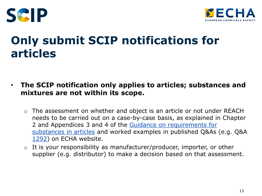



## **Only submit SCIP notifications for articles**

- **The SCIP notification only applies to articles; substances and mixtures are not within its scope.**
	- o The assessment on whether and object is an article or not under REACH needs to be carried out on a case-by-case basis, as explained in Chapter [2 and Appendices 3 and 4 of the Guidance on requirements for](https://echa.europa.eu/documents/10162/23036412/articles_en.pdf) substances in articles and worked examples in published Q&As (e.g. Q&A [1292](https://echa.europa.eu/support/qas-support/qas/-/q-and-a/a63b1943-5c30-81d3-f589-d1283feecae9)) on ECHA website.
	- $\circ$  It is your responsibility as manufacturer/producer, importer, or other supplier (e.g. distributor) to make a decision based on that assessment.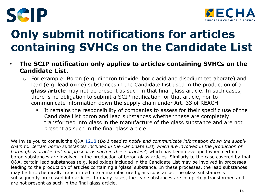



# **Only submit notifications for articles containing SVHCs on the Candidate List**

- **The SCIP notification only applies to articles containing SVHCs on the Candidate List.**
	- o For example: Boron (e.g. diboron trioxide, boric acid and disodium tetraborate) and lead (e.g. lead oxide) substances in the Candidate List used in the production of a **glass article** may not be present as such in that final glass article. In such cases, there is no obligation to submit a SCIP notification for that article, nor to communicate information down the supply chain under Art. 33 of REACH.
		- It remains the responsibility of companies to assess for their specific use of the Candidate List boron and lead substances whether these are completely transformed into glass in the manufacture of the glass substance and are not present as such in the final glass article.

We invite you to consult the Q&A [1218](https://echa.europa.eu/support/qas-support/qas/-/q-and-a/b8dcef4b-fcbe-1e83-5037-711669a513cb) (*Do I need to notify and communicate information down the supply chain for certain boron substances included in the Candidate List, which are involved in the production of boron glass articles but not present as such in these articles?*) which has been developed when certain boron substances are involved in the production of boron glass articles. Similarly to the case covered by that Q&A, certain lead substances (e.g. lead oxide) included in the Candidate List may be involved in processes leading to the production of articles containing a 'glass' substance. In these processes, the lead substances may be first chemically transformed into a manufactured glass substance. The glass substance is subsequently processed into articles. In many cases, the lead substances are completely transformed and are not present as such in the final glass article.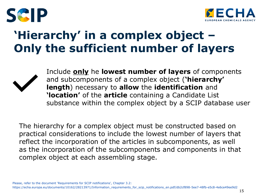



## **'Hierarchy' in a complex object – Only the sufficient number of layers**



Include **only** he **lowest number of layers** of components and subcomponents of a complex object (**'hierarchy' length**) necessary to **allow** the **identification** and **'location'** of the **article** containing a Candidate List substance within the complex object by a SCIP database user

The hierarchy for a complex object must be constructed based on practical considerations to include the lowest number of layers that reflect the incorporation of the articles in subcomponents, as well as the incorporation of the subcomponents and components in that complex object at each assembling stage.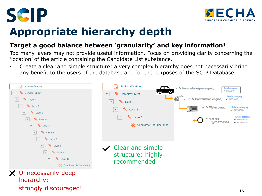



## **Appropriate hierarchy depth**

#### **Target a good balance between 'granularity' and key information!**

Too many layers may not provide useful information. Focus on providing clarity concerning the 'location' of the article containing the Candidate List substance.

• Create a clear and simple structure: a very complex hierarchy does not necessarily bring any benefit to the users of the database and for the purposes of the SCIP Database!

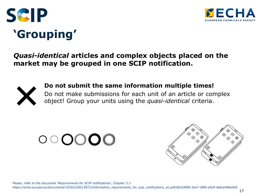



# **'Grouping'**

#### *Quasi-identical* **articles and complex objects placed on the market may be grouped in one SCIP notification.**



#### **Do not submit the same information multiple times!**

Do not make submissions for each unit of an article or complex object! Group your units using the *quasi-identical* criteria.



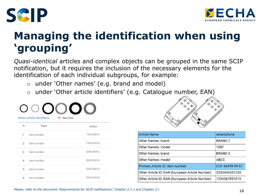



## **Managing the identification when using 'grouping'**

*Quasi-identical* articles and complex objects can be grouped in the same SCIP notification, but it requires the inclusion of the necessary elements for the identification of each individual subgroups, for example:

- o under 'Other names' (e.g. brand and model)
- o under 'Other article identifiers' (e.g. Catalogue number, EAN)

| Other article identifiers<br>+ New item |             |            |  |
|-----------------------------------------|-------------|------------|--|
| #                                       | <b>Type</b> | Value      |  |
| 1                                       | item number | 15x2.0B RJ |  |
| $\overline{2}$                          | item number | 15x2.0G RJ |  |
| 3.                                      | item number | 20x3.5B RJ |  |
| 4                                       | item number | 20x3.5G RJ |  |
| 5                                       | item number | 20x5.0B RJ |  |
| 6                                       | item number | 20x5.0G RJ |  |



| <b>Article Name</b>                             | smartphone       |
|-------------------------------------------------|------------------|
| Other Names: brand                              | <b>BRAND1</b>    |
| Other Names: model                              | 100F             |
| Other Names: brand                              | <b>BRAND 2</b>   |
| Other Names: model                              | ABC <sub>5</sub> |
| Primary Article ID: item number                 | CCF 44499-99-57  |
| Other Article ID: EAN (European Article Number) | 3334445551234    |
| Other Article ID: EAN (European Article Number) | 1234567891019    |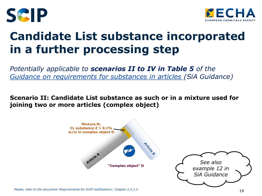



## **Candidate List substance incorporated in a further processing step**

*Potentially applicable to scenarios II to IV in Table 5 of the [Guidance on requirements for substances in articles](https://echa.europa.eu/documents/10162/23036412/articles_en.pdf) (SiA Guidance)*

**Scenario II: Candidate List substance as such or in a mixture used for joining two or more articles (complex object)**



*Please, refer to the document 'Requirements for SCIP notifications', Chapter 2.3.1.3*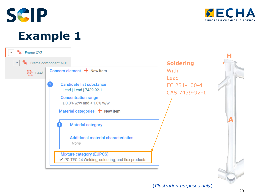



**Example 1**

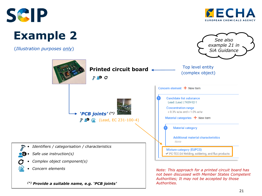



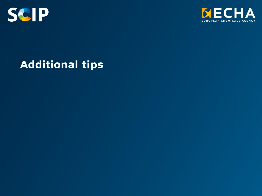



### **Additional tips**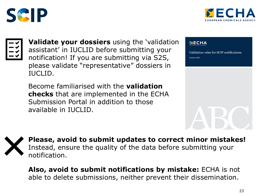





**Validate your dossiers** using the 'validation assistant' in IUCLID before submitting your notification! If you are submitting via S2S, please validate "representative" dossiers in IUCLID.

Become familiarised with the **validation checks** that are implemented in the ECHA Submission Portal in addition to those available in IUCLID.

#### **NECHA**

Validation rules for SCIP notifications October 2020

**Please, avoid to submit updates to correct minor mistakes!** Instead, ensure the quality of the data before submitting your notification.

**Also, avoid to submit notifications by mistake:** ECHA is not able to delete submissions, neither prevent their dissemination.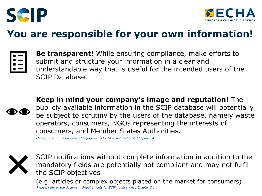



### **You are responsible for your own information!**



**Be transparent!** While ensuring compliance, make efforts to submit and structure your information in a clear and understandable way that is useful for the intended users of the SCIP Database.



**Keep in mind your company's image and reputation!** The publicly available information in the SCIP database will potentially be subject to scrutiny by the users of the database, namely waste operators, consumers, NGOs representing the interests of consumers, and Member States Authorities.

*Please, refer to the document 'Requirements for SCIP notifications', Chapter 2.4*



SCIP notifications without complete information in addition to the mandatory fields are potentially not compliant and may not fulfil the SCIP objectives

(e.g. articles or complex objects placed on the market for consumers) *Please, refer to the document 'Requirements for SCIP notifications', Chapter 2.1.1*